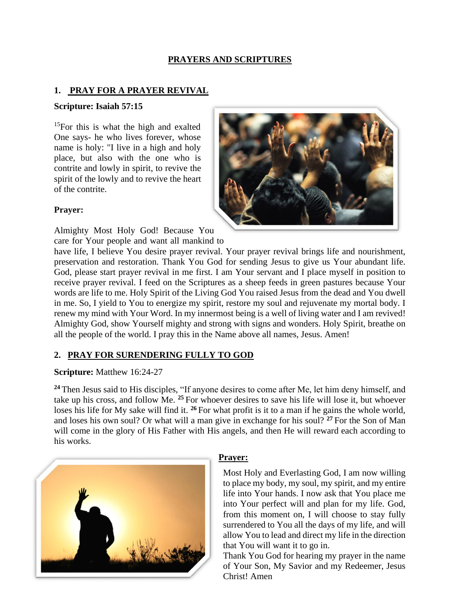### **PRAYERS AND SCRIPTURES**

### **1. PRAY FOR A PRAYER REVIVAL**

#### **Scripture: [Isaiah](https://www.kingjamesbibleonline.org/Isaiah-57-15/) 57:15**

<sup>15</sup>For this is what the high and exalted One says- he who lives forever, whose name is holy: "I live in a high and holy place, but also with the one who is contrite and lowly in spirit, to revive the spirit of the lowly and to revive the heart of the contrite.



### **Prayer:**

Almighty Most Holy God! Because You care for Your people and want all mankind to

have life, I believe You desire prayer revival. Your prayer revival brings life and nourishment, preservation and restoration. Thank You God for sending Jesus to give us Your abundant life. God, please start prayer revival in me first. I am Your servant and I place myself in position to receive prayer revival. I feed on the Scriptures as a sheep feeds in green pastures because Your words are life to me. Holy Spirit of the Living God You raised Jesus from the dead and You dwell in me. So, I yield to You to energize my spirit, restore my soul and rejuvenate my mortal body. I renew my mind with Your Word. In my innermost being is a well of living water and I am revived! Almighty God, show Yourself mighty and strong with signs and wonders. Holy Spirit, breathe on all the people of the world. I pray this in the Name above all names, Jesus. Amen!

# **2. PRAY FOR SURENDERING FULLY TO GOD**

### **Scripture:** Matthew 16:24-27

**<sup>24</sup>** Then Jesus said to His disciples, "If anyone desires to come after Me, let him deny himself, and take up his cross, and follow Me. **<sup>25</sup>** For whoever desires to save his life will lose it, but whoever loses his life for My sake will find it. **<sup>26</sup>** For what profit is it to a man if he gains the whole world, and loses his own soul? Or what will a man give in exchange for his soul? **<sup>27</sup>** For the Son of Man will come in the glory of His Father with His angels, and then He will reward each according to his works.



# **Prayer:**

Most Holy and Everlasting God, I am now willing to place my body, my soul, my spirit, and my entire life into Your hands. I now ask that You place me into Your perfect will and plan for my life. God, from this moment on, I will choose to stay fully surrendered to You all the days of my life, and will allow You to lead and direct my life in the direction that You will want it to go in.

Thank You God for hearing my prayer in the name of Your Son, My Savior and my Redeemer, Jesus Christ! Amen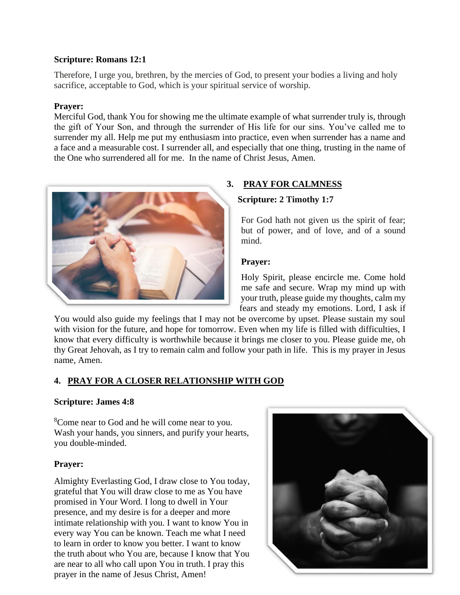#### **Scripture: Romans 12:1**

Therefore, I urge you, brethren, by the mercies of God, to present your bodies a living and holy sacrifice, acceptable to God, which is your spiritual service of worship.

#### **Prayer:**

Merciful God, thank You for showing me the ultimate example of what surrender truly is, through the gift of Your Son, and through the surrender of His life for our sins. You've called me to surrender my all. Help me put my enthusiasm into practice, even when surrender has a name and a face and a measurable cost. I surrender all, and especially that one thing, trusting in the name of the One who surrendered all for me. In the name of Christ Jesus, Amen.



## **3. PRAY FOR CALMNESS**

#### **Scripture: 2 Timothy 1:7**

For God hath not given us the spirit of fear; but of power, and of love, and of a sound mind.

#### **Prayer:**

Holy Spirit, please encircle me. Come hold me safe and secure. Wrap my mind up with your truth, please guide my thoughts, calm my fears and steady my emotions. Lord, I ask if

You would also guide my feelings that I may not be overcome by upset. Please sustain my soul with vision for the future, and hope for tomorrow. Even when my life is filled with difficulties, I know that every difficulty is worthwhile because it brings me closer to you. Please guide me, oh thy Great Jehovah, as I try to remain calm and follow your path in life. This is my prayer in Jesus name, Amen.

### **4. PRAY FOR A CLOSER RELATIONSHIP WITH GOD**

### **Scripture: James 4:8**

<sup>8</sup>Come near to God and he will come near to you. Wash your hands, you sinners, and purify your hearts, you double-minded.

### **Prayer:**

Almighty Everlasting God, I draw close to You today, grateful that You will draw close to me as You have promised in Your Word. I long to dwell in Your presence, and my desire is for a deeper and more intimate relationship with you. I want to know You in every way You can be known. Teach me what I need to learn in order to know you better. I want to know the truth about who You are, because I know that You are near to all who call upon You in truth. I pray this prayer in the name of Jesus Christ, Amen!

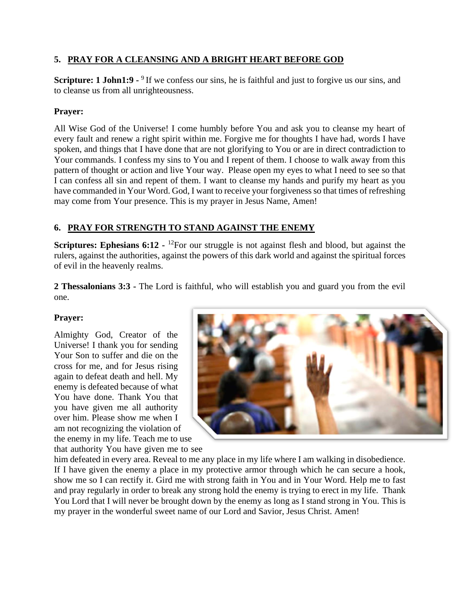## **5. PRAY FOR A CLEANSING AND A BRIGHT HEART BEFORE GOD**

**Scripture: 1 John1:9 -** <sup>9</sup> If we confess our sins, he is faithful and just to forgive us our sins, and to cleanse us from all unrighteousness.

### **Prayer:**

All Wise God of the Universe! I come humbly before You and ask you to cleanse my heart of every fault and renew a right spirit within me. Forgive me for thoughts I have had, words I have spoken, and things that I have done that are not glorifying to You or are in direct contradiction to Your commands. I confess my sins to You and I repent of them. I choose to walk away from this pattern of thought or action and live Your way. Please open my eyes to what I need to see so that I can confess all sin and repent of them. I want to cleanse my hands and purify my heart as you have commanded in Your Word. God, I want to receive your forgiveness so that times of refreshing may come from Your presence. This is my prayer in Jesus Name, Amen!

## **6. PRAY FOR STRENGTH TO STAND AGAINST THE ENEMY**

**Scriptures: Ephesians 6:12 -** <sup>12</sup>For our struggle is not against flesh and blood, but against the rulers, against the authorities, against the powers of this dark world and against the spiritual forces of evil in the heavenly realms.

**2 Thessalonians 3:3 -** The Lord is faithful, who will establish you and guard you from the evil one.

### **Prayer:**

Almighty God, Creator of the Universe! I thank you for sending Your Son to suffer and die on the cross for me, and for Jesus rising again to defeat death and hell. My enemy is defeated because of what You have done. Thank You that you have given me all authority over him. Please show me when I am not recognizing the violation of the enemy in my life. Teach me to use that authority You have given me to see



him defeated in every area. Reveal to me any place in my life where I am walking in disobedience. If I have given the enemy a place in my protective armor through which he can secure a hook, show me so I can rectify it. Gird me with strong faith in You and in Your Word. Help me to fast and pray regularly in order to break any strong hold the enemy is trying to erect in my life. Thank You Lord that I will never be brought down by the enemy as long as I stand strong in You. This is my prayer in the wonderful sweet name of our Lord and Savior, Jesus Christ. Amen!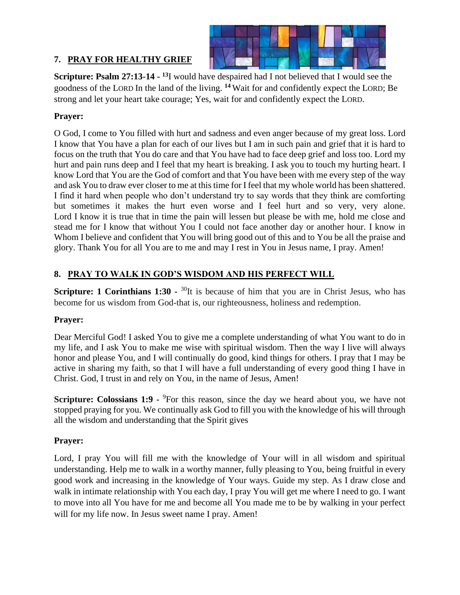

# **7. PRAY FOR HEALTHY GRIEF**

**Scripture: Psalm 27:13-14 - <sup>13</sup>**I would have despaired had I not believed that I would see the goodness of the LORD In the land of the living. **<sup>14</sup>** Wait for and confidently expect the LORD; Be strong and let your heart take courage; Yes, wait for and confidently expect the LORD.

# **Prayer:**

O God, I come to You filled with hurt and sadness and even anger because of my great loss. Lord I know that You have a plan for each of our lives but I am in such pain and grief that it is hard to focus on the truth that You do care and that You have had to face deep grief and loss too. Lord my hurt and pain runs deep and I feel that my heart is breaking. I ask you to touch my hurting heart. I know Lord that You are the God of comfort and that You have been with me every step of the way and ask You to draw ever closer to me at this time for I feel that my whole world has been shattered. I find it hard when people who don't understand try to say words that they think are comforting but sometimes it makes the hurt even worse and I feel hurt and so very, very alone. Lord I know it is true that in time the pain will lessen but please be with me, hold me close and stead me for I know that without You I could not face another day or another hour. I know in Whom I believe and confident that You will bring good out of this and to You be all the praise and glory. Thank You for all You are to me and may I rest in You in Jesus name, I pray. Amen!

# **8. PRAY TO WALK IN GOD'S WISDOM AND HIS PERFECT WILL**

**Scripture: 1 Corinthians 1:30 -** <sup>30</sup>It is because of him that you are in Christ Jesus, who has become for us wisdom from God-that is, our righteousness, holiness and redemption.

### **Prayer:**

Dear Merciful God! I asked You to give me a complete understanding of what You want to do in my life, and I ask You to make me wise with spiritual wisdom. Then the way I live will always honor and please You, and I will continually do good, kind things for others. I pray that I may be active in sharing my faith, so that I will have a full understanding of every good thing I have in Christ. God, I trust in and rely on You, in the name of Jesus, Amen!

**Scripture: [Colossians 1:9](http://www.biblica.com/en-us/bible/online-bible/niv/colossians/1/) -** <sup>9</sup>For this reason, since the day we heard about you, we have not stopped praying for you. We continually ask God to fill you with the knowledge of his will through all the wisdom and understanding that the Spirit gives

# **Prayer:**

Lord, I pray You will fill me with the knowledge of Your will in all wisdom and spiritual understanding. Help me to walk in a worthy manner, fully pleasing to You, being fruitful in every good work and increasing in the knowledge of Your ways. Guide my step. As I draw close and walk in intimate relationship with You each day, I pray You will get me where I need to go. I want to move into all You have for me and become all You made me to be by walking in your perfect will for my life now. In Jesus sweet name I pray. Amen!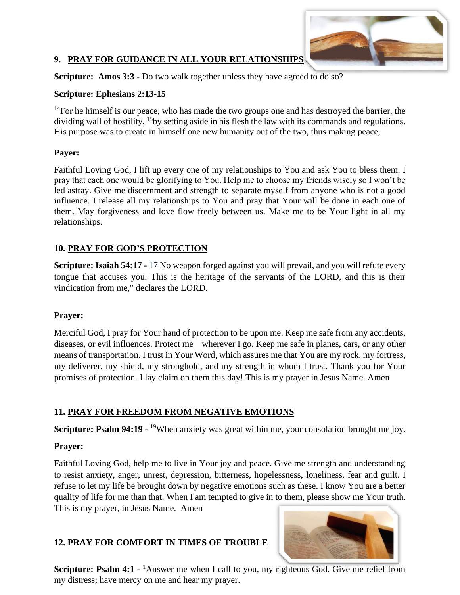

### **9. PRAY FOR GUIDANCE IN ALL YOUR RELATIONSHIPS**

**Scripture: Amos 3:3 -** Do two walk together unless they have agreed to do so?

### **Scripture: Ephesians 2:13-15**

 $14$ For he himself is our peace, who has made the two groups one and has destroyed the barrier, the dividing wall of hostility, <sup>15</sup>by setting aside in his flesh the law with its commands and regulations. His purpose was to create in himself one new humanity out of the two, thus making peace,

## **Payer:**

Faithful Loving God, I lift up every one of my relationships to You and ask You to bless them. I pray that each one would be glorifying to You. Help me to choose my friends wisely so I won't be led astray. Give me discernment and strength to separate myself from anyone who is not a good influence. I release all my relationships to You and pray that Your will be done in each one of them. May forgiveness and love flow freely between us. Make me to be Your light in all my relationships.

# **10. PRAY FOR GOD'S PROTECTION**

**Scripture: Isaiah 54:17 -** 17 No weapon forged against you will prevail, and you will refute every tongue that accuses you. This is the heritage of the servants of the LORD, and this is their vindication from me," declares the LORD.

# **Prayer:**

Merciful God, I pray for Your hand of protection to be upon me. Keep me safe from any accidents, diseases, or evil influences. Protect me wherever I go. Keep me safe in planes, cars, or any other means of transportation. I trust in Your Word, which assures me that You are my rock, my fortress, my deliverer, my shield, my stronghold, and my strength in whom I trust. Thank you for Your promises of protection. I lay claim on them this day! This is my prayer in Jesus Name. Amen

# **11. PRAY FOR FREEDOM FROM NEGATIVE EMOTIONS**

**Scripture: Psalm 94:19 -** <sup>19</sup>When anxiety was great within me, your consolation brought me joy.

# **Prayer:**

Faithful Loving God, help me to live in Your joy and peace. Give me strength and understanding to resist anxiety, anger, unrest, depression, bitterness, hopelessness, loneliness, fear and guilt. I refuse to let my life be brought down by negative emotions such as these. I know You are a better quality of life for me than that. When I am tempted to give in to them, please show me Your truth. This is my prayer, in Jesus Name. Amen

# **12. PRAY FOR COMFORT IN TIMES OF TROUBLE**



**Scripture: [Psalm 4:1](http://www.biblica.com/en-us/bible/online-bible/niv/psalm/4/) -** <sup>1</sup>Answer me when I call to you, my righteous God. Give me relief from my distress; have mercy on me and hear my prayer.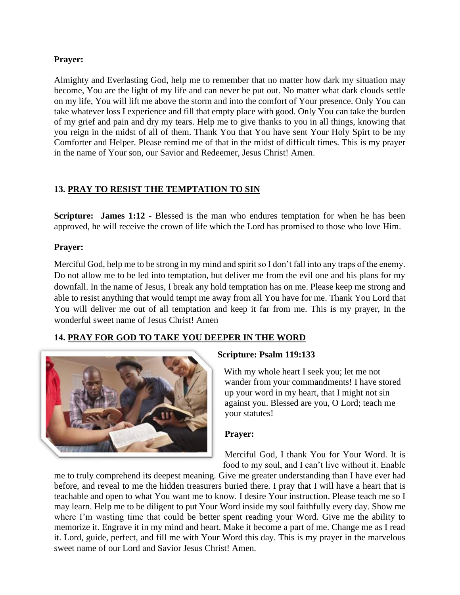#### **Prayer:**

Almighty and Everlasting God, help me to remember that no matter how dark my situation may become, You are the light of my life and can never be put out. No matter what dark clouds settle on my life, You will lift me above the storm and into the comfort of Your presence. Only You can take whatever loss I experience and fill that empty place with good. Only You can take the burden of my grief and pain and dry my tears. Help me to give thanks to you in all things, knowing that you reign in the midst of all of them. Thank You that You have sent Your Holy Spirt to be my Comforter and Helper. Please remind me of that in the midst of difficult times. This is my prayer in the name of Your son, our Savior and Redeemer, Jesus Christ! Amen.

## **13. PRAY TO RESIST THE TEMPTATION TO SIN**

**Scripture:** James 1:12 - Blessed is the man who endures temptation for when he has been approved, he will receive the crown of life which the Lord has promised to those who love Him.

#### **Prayer:**

Merciful God, help me to be strong in my mind and spirit so I don't fall into any traps of the enemy. Do not allow me to be led into temptation, but deliver me from the evil one and his plans for my downfall. In the name of Jesus, I break any hold temptation has on me. Please keep me strong and able to resist anything that would tempt me away from all You have for me. Thank You Lord that You will deliver me out of all temptation and keep it far from me. This is my prayer, In the wonderful sweet name of Jesus Christ! Amen

### **14. PRAY FOR GOD TO TAKE YOU DEEPER IN THE WORD**



### **Scripture: Psalm 119:133**

With my whole heart I seek you; let me not wander from your commandments! I have stored up your word in my heart, that I might not sin against you. Blessed are you, O Lord; teach me your statutes!

#### **Prayer:**

Merciful God, I thank You for Your Word. It is food to my soul, and I can't live without it. Enable

me to truly comprehend its deepest meaning. Give me greater understanding than I have ever had before, and reveal to me the hidden treasurers buried there. I pray that I will have a heart that is teachable and open to what You want me to know. I desire Your instruction. Please teach me so I may learn. Help me to be diligent to put Your Word inside my soul faithfully every day. Show me where I'm wasting time that could be better spent reading your Word. Give me the ability to memorize it. Engrave it in my mind and heart. Make it become a part of me. Change me as I read it. Lord, guide, perfect, and fill me with Your Word this day. This is my prayer in the marvelous sweet name of our Lord and Savior Jesus Christ! Amen.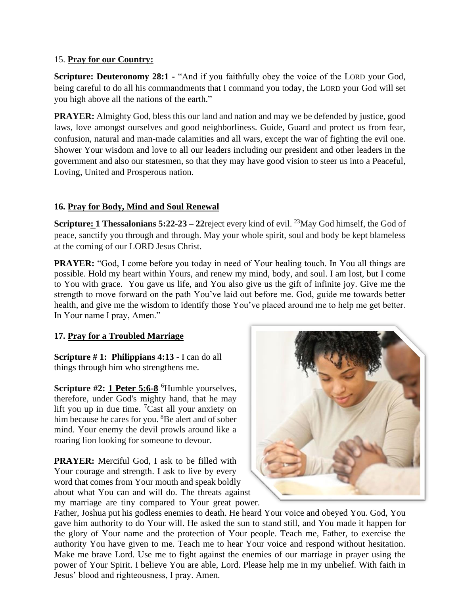### 15. **Pray for our Country:**

**Scripture: Deuteronomy 28:1 - "And if you faithfully obey the voice of the LORD your God,** being careful to do all his commandments that I command you today, the LORD your God will set you high above all the nations of the earth."

**PRAYER:** Almighty God, bless this our land and nation and may we be defended by justice, good laws, love amongst ourselves and good neighborliness. Guide, Guard and protect us from fear, confusion, natural and man-made calamities and all wars, except the war of fighting the evil one. Shower Your wisdom and love to all our leaders including our president and other leaders in the government and also our statesmen, so that they may have good vision to steer us into a Peaceful, Loving, United and [Prosperous](https://catholicreadings.org/catholic-prayers/prayer-to-be-more-productive/) nation.

## **16. Pray for Body, Mind and Soul Renewal**

**Scripture: 1 Thessalonians 5:22-23 – 22** reject every kind of evil. <sup>23</sup> May God himself, the God of peace, sanctify you through and through. May your whole spirit, soul and body be kept blameless at the coming of our LORD Jesus Christ.

**PRAYER:** "God, I come before you today in need of Your healing touch. In You all things are possible. Hold my heart within Yours, and renew my mind, body, and soul. I am lost, but I come to You with grace. You gave us life, and You also give us the gift of infinite joy. Give me the strength to move forward on the path You've laid out before me. God, guide me towards better health, and give me the wisdom to identify those You've placed around me to help me get better. In Your name I pray, Amen."

### **17. Pray for a Troubled Marriage**

**Scripture # 1: Philippians 4:13 -** I can do all things through him who strengthens me.

Scripture #2: [1 Peter 5:6-8](http://www.biblica.com/en-us/bible/online-bible/niv/1-peter/5/) <sup>6</sup>Humble yourselves, therefore, under God's mighty hand, that he may lift you up in due time. <sup>7</sup>Cast all your anxiety on him because he cares for you. <sup>8</sup>Be alert and of sober mind. Your enemy the devil prowls around like a roaring lion looking for someone to devour.

**PRAYER:** Merciful God, I ask to be filled with Your courage and strength. I ask to live by every word that comes from Your mouth and speak boldly about what You can and will do. The threats against my marriage are tiny compared to Your great power.



Father, Joshua put his godless enemies to death. He heard Your voice and obeyed You. God, You gave him authority to do Your will. He asked the sun to stand still, and You made it happen for the glory of Your name and the [protection](https://catholicreadings.org/catholic-prayers/morning-prayer-for-protection-and-safety/) of Your people. Teach me, Father, to exercise the authority You have given to me. Teach me to hear Your voice and respond without hesitation. Make me brave Lord. Use me to fight against the enemies of our marriage in prayer using the power of Your Spirit. I believe You are able, Lord. Please [help](https://catholicreadings.org/catholic-prayers/prayer-for-help-prayer-to-god-for-help/) me in my unbelief. With faith in Jesus' blood and righteousness, I pray. Amen.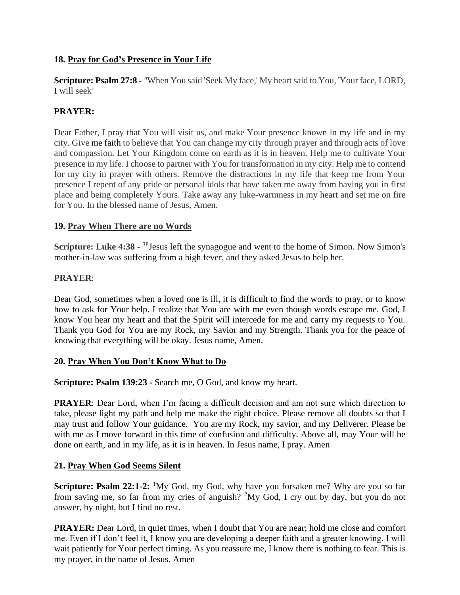## **18. Pray for God's Presence in Your Life**

**Scripture: Psalm 27:8 -** *"*When You said 'Seek My face,' My heart said to You, 'Your face, LORD, I will seek*'*

## **PRAYER:**

Dear Father, I pray that You will visit us, and make Your presence known in my life and in my city. Give me [faith](https://www.crosswalk.com/faith/) to believe that You can change my city through prayer and through acts of love and compassion. Let Your Kingdom come on earth as it is in heaven. Help me to cultivate Your presence in my life. I choose to partner with You for transformation in my city. Help me to contend for my city in prayer with others. Remove the distractions in my life that keep me from Your presence I repent of any pride or personal idols that have taken me away from having you in first place and being completely Yours. Take away any luke-warmness in my heart and set me on fire for You. In the blessed name of Jesus, Amen.

### **19. Pray When There are no Words**

**Scripture: Luke 4:38 -** <sup>38</sup> Jesus left the synagogue and went to the home of Simon. Now Simon's mother-in-law was suffering from a high fever, and they asked Jesus to help her.

#### **PRAYER**:

Dear God, sometimes when a loved one is ill, it is difficult to find the words to pray, or to know how to ask for Your help. I realize that You are with me even though words escape me. God, I know You hear my heart and that the Spirit will intercede for me and carry my requests to You. Thank you God for You are my Rock, my Savior and my Strength. Thank you for the peace of knowing that everything will be okay. Jesus name, Amen.

#### **20. Pray When You Don't Know What to Do**

**Scripture: Psalm 139:23 -** Search me, O God, and know my heart.

**PRAYER**: Dear Lord, when I'm facing a difficult decision and am not sure which direction to take, please light my path and help me make the right choice. Please remove all doubts so that I may trust and follow Your guidance. You are my Rock, my savior, and my Deliverer. Please be with me as I move forward in this time of confusion and difficulty. Above all, may Your will be done on earth, and in my life, as it is in heaven. In Jesus name, I pray. Amen

#### **21. Pray When God Seems Silent**

**Scripture: Psalm 22:1-2:** <sup>1</sup>My God, my God, why have you forsaken me? Why are you so far from saving me, so far from my cries of anguish?  $2\text{My God}$ , I cry out by day, but you do not answer, by night, but I find no rest.

**PRAYER:** Dear Lord, in quiet times, when I doubt that You are near; hold me close and comfort me. Even if I don't feel it, I know you are developing a deeper faith and a greater knowing. I will wait patiently for Your perfect timing. As you reassure me, I know there is nothing to fear. This is my prayer, in the name of Jesus. Amen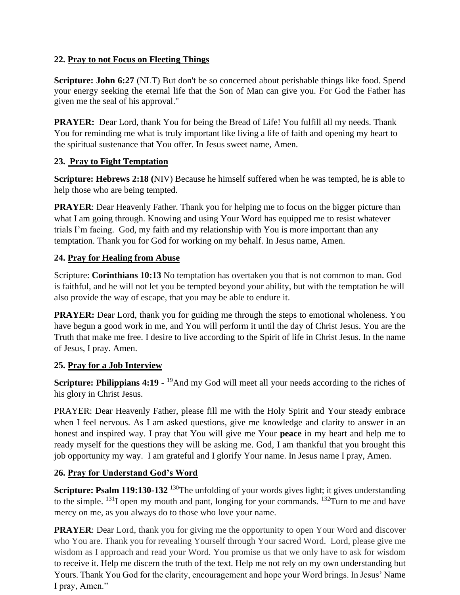# **22. Pray to not Focus on Fleeting Things**

**Scripture: John 6:27** (NLT) But don't be so concerned about perishable things like food. Spend your energy seeking the eternal life that the Son of Man can give you. For God the Father has given me the seal of his approval."

**PRAYER:** Dear Lord, thank You for being the Bread of Life! You fulfill all my needs. Thank You for reminding me what is truly important like living a life of faith and opening my heart to the spiritual sustenance that You offer. In Jesus sweet name, Amen.

## **23. Pray to Fight Temptation**

**Scripture: Hebrews 2:18 (**NIV) Because he himself suffered when he was tempted, he is able to help those who are being tempted.

**PRAYER:** Dear Heavenly Father. Thank you for helping me to focus on the bigger picture than what I am going through. Knowing and using Your Word has equipped me to resist whatever trials I'm facing. God, my faith and my relationship with You is more important than any temptation. Thank you for God for working on my behalf. In Jesus name, Amen.

## **24. Pray for Healing from Abuse**

Scripture: **Corinthians 10:13** No temptation has overtaken you that is not common to man. God is faithful, and he will not let you be tempted beyond your ability, but with the temptation he will also provide the way of escape, that you may be able to endure it.

**PRAYER:** Dear Lord, thank you for guiding me through the steps to emotional wholeness. You have begun a good work in me, and You will perform it until the day of Christ Jesus. You are the Truth that make me free. I desire to live according to the Spirit of life in Christ Jesus. In the name of Jesus, I pray. Amen.

### **25. Pray for a Job Interview**

**Scripture: Philippians 4:19** - <sup>19</sup>And my God will meet all your needs according to the riches of his glory in Christ Jesus.

PRAYER: Dear Heavenly Father, please fill me with the Holy Spirit and Your steady embrace when I feel nervous. As I am asked questions, give me knowledge and clarity to answer in an honest and inspired way. I pray that You will give me Your **peace** in my heart and help me to ready myself for the questions they will be asking me. God, I am thankful that you brought this job opportunity my way. I am grateful and I glorify Your name. In Jesus name I pray, Amen.

# **26. Pray for Understand God's Word**

**Scripture: [Psalm 119:130-132](http://www.biblica.com/en-us/bible/online-bible/niv/psalm/119/)** <sup>130</sup>The unfolding of your words gives light; it gives understanding to the simple.  $^{131}$ I open my mouth and pant, longing for your commands.  $^{132}$ Turn to me and have mercy on me, as you always do to those who love your name.

**PRAYER:** Dear Lord, thank you for giving me the opportunity to open Your Word and discover who You are. Thank you for revealing Yourself through Your sacred Word. Lord, please give me wisdom as I approach and read your Word. You promise us that we only have to ask for wisdom to receive it. Help me discern the truth of the text. Help me not rely on my own understanding but Yours. Thank You God for the clarity, encouragement and hope your Word brings. In Jesus' Name I pray, Amen."